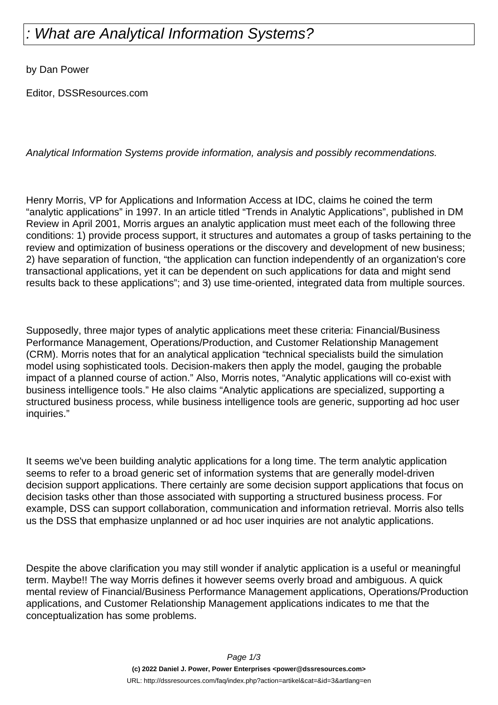## : What are Analytical Information Systems?

by Dan Power

Editor, DSSResources.com

Analytical Information Systems provide information, analysis and possibly recommendations.

Henry Morris, VP for Applications and Information Access at IDC, claims he coined the term "analytic applications" in 1997. In an article titled "Trends in Analytic Applications", published in DM Review in April 2001, Morris argues an analytic application must meet each of the following three conditions: 1) provide process support, it structures and automates a group of tasks pertaining to the review and optimization of business operations or the discovery and development of new business; 2) have separation of function, "the application can function independently of an organization's core transactional applications, yet it can be dependent on such applications for data and might send results back to these applications"; and 3) use time-oriented, integrated data from multiple sources.

Supposedly, three major types of analytic applications meet these criteria: Financial/Business Performance Management, Operations/Production, and Customer Relationship Management (CRM). Morris notes that for an analytical application "technical specialists build the simulation model using sophisticated tools. Decision-makers then apply the model, gauging the probable impact of a planned course of action." Also, Morris notes, "Analytic applications will co-exist with business intelligence tools." He also claims "Analytic applications are specialized, supporting a structured business process, while business intelligence tools are generic, supporting ad hoc user inquiries."

It seems we've been building analytic applications for a long time. The term analytic application seems to refer to a broad generic set of information systems that are generally model-driven decision support applications. There certainly are some decision support applications that focus on decision tasks other than those associated with supporting a structured business process. For example, DSS can support collaboration, communication and information retrieval. Morris also tells us the DSS that emphasize unplanned or ad hoc user inquiries are not analytic applications.

Despite the above clarification you may still wonder if analytic application is a useful or meaningful term. Maybe!! The way Morris defines it however seems overly broad and ambiguous. A quick mental review of Financial/Business Performance Management applications, Operations/Production applications, and Customer Relationship Management applications indicates to me that the conceptualization has some problems.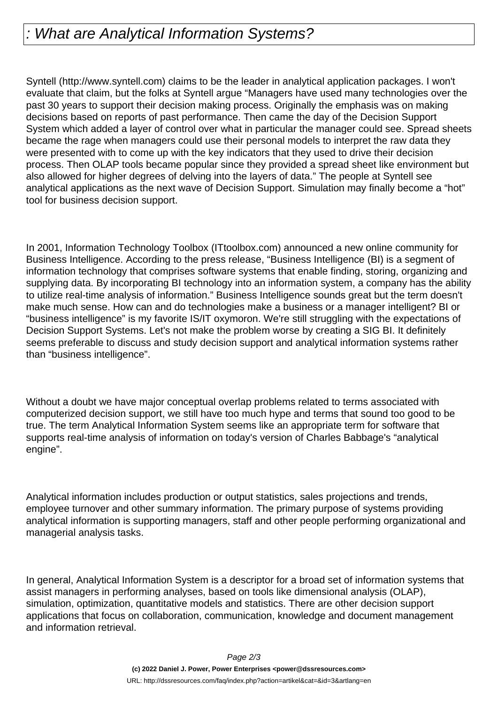## : What are Analytical Information Systems?

Syntell (http://www.syntell.com) claims to be the leader in analytical application packages. I won't evaluate that claim, but the folks at Syntell argue "Managers have used many technologies over the past 30 years to support their decision making process. Originally the emphasis was on making decisions based on reports of past performance. Then came the day of the Decision Support System which added a layer of control over what in particular the manager could see. Spread sheets became the rage when managers could use their personal models to interpret the raw data they were presented with to come up with the key indicators that they used to drive their decision process. Then OLAP tools became popular since they provided a spread sheet like environment but also allowed for higher degrees of delving into the layers of data." The people at Syntell see analytical applications as the next wave of Decision Support. Simulation may finally become a "hot" tool for business decision support.

In 2001, Information Technology Toolbox (ITtoolbox.com) announced a new online community for Business Intelligence. According to the press release, "Business Intelligence (BI) is a segment of information technology that comprises software systems that enable finding, storing, organizing and supplying data. By incorporating BI technology into an information system, a company has the ability to utilize real-time analysis of information." Business Intelligence sounds great but the term doesn't make much sense. How can and do technologies make a business or a manager intelligent? BI or "business intelligence" is my favorite IS/IT oxymoron. We're still struggling with the expectations of Decision Support Systems. Let's not make the problem worse by creating a SIG BI. It definitely seems preferable to discuss and study decision support and analytical information systems rather than "business intelligence".

Without a doubt we have major conceptual overlap problems related to terms associated with computerized decision support, we still have too much hype and terms that sound too good to be true. The term Analytical Information System seems like an appropriate term for software that supports real-time analysis of information on today's version of Charles Babbage's "analytical engine".

Analytical information includes production or output statistics, sales projections and trends, employee turnover and other summary information. The primary purpose of systems providing analytical information is supporting managers, staff and other people performing organizational and managerial analysis tasks.

In general, Analytical Information System is a descriptor for a broad set of information systems that assist managers in performing analyses, based on tools like dimensional analysis (OLAP), simulation, optimization, quantitative models and statistics. There are other decision support applications that focus on collaboration, communication, knowledge and document management and information retrieval.